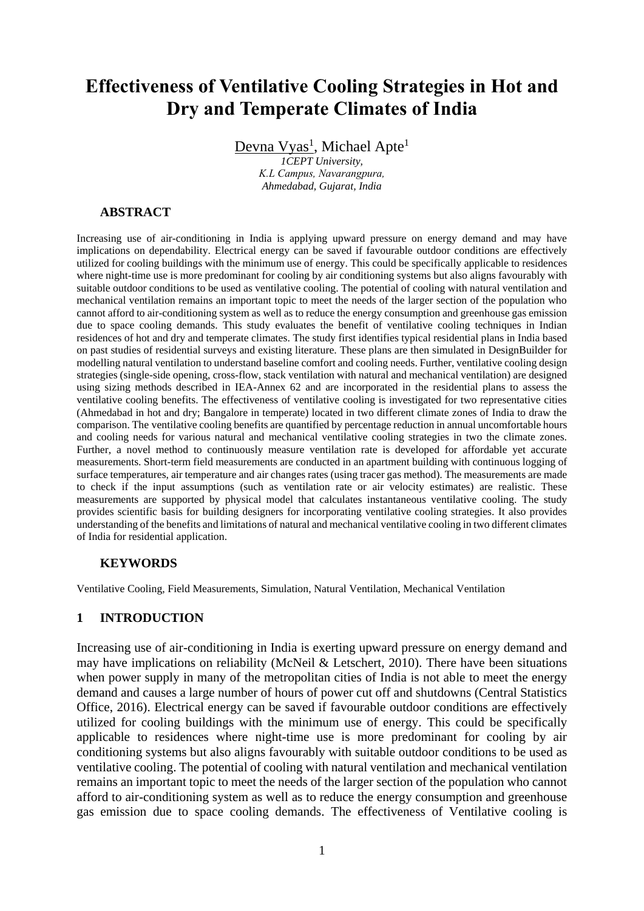# **Effectiveness of Ventilative Cooling Strategies in Hot and Dry and Temperate Climates of India**

Devna Vyas<sup>1</sup>, Michael Apte<sup>1</sup>

*1CEPT University, K.L Campus, Navarangpura, Ahmedabad, Gujarat, India*

## **ABSTRACT**

Increasing use of air-conditioning in India is applying upward pressure on energy demand and may have implications on dependability. Electrical energy can be saved if favourable outdoor conditions are effectively utilized for cooling buildings with the minimum use of energy. This could be specifically applicable to residences where night-time use is more predominant for cooling by air conditioning systems but also aligns favourably with suitable outdoor conditions to be used as ventilative cooling. The potential of cooling with natural ventilation and mechanical ventilation remains an important topic to meet the needs of the larger section of the population who cannot afford to air-conditioning system as well as to reduce the energy consumption and greenhouse gas emission due to space cooling demands. This study evaluates the benefit of ventilative cooling techniques in Indian residences of hot and dry and temperate climates. The study first identifies typical residential plans in India based on past studies of residential surveys and existing literature. These plans are then simulated in DesignBuilder for modelling natural ventilation to understand baseline comfort and cooling needs. Further, ventilative cooling design strategies (single-side opening, cross-flow, stack ventilation with natural and mechanical ventilation) are designed using sizing methods described in IEA-Annex 62 and are incorporated in the residential plans to assess the ventilative cooling benefits. The effectiveness of ventilative cooling is investigated for two representative cities (Ahmedabad in hot and dry; Bangalore in temperate) located in two different climate zones of India to draw the comparison. The ventilative cooling benefits are quantified by percentage reduction in annual uncomfortable hours and cooling needs for various natural and mechanical ventilative cooling strategies in two the climate zones. Further, a novel method to continuously measure ventilation rate is developed for affordable yet accurate measurements. Short-term field measurements are conducted in an apartment building with continuous logging of surface temperatures, air temperature and air changes rates (using tracer gas method). The measurements are made to check if the input assumptions (such as ventilation rate or air velocity estimates) are realistic. These measurements are supported by physical model that calculates instantaneous ventilative cooling. The study provides scientific basis for building designers for incorporating ventilative cooling strategies. It also provides understanding of the benefits and limitations of natural and mechanical ventilative cooling in two different climates of India for residential application.

#### **KEYWORDS**

Ventilative Cooling, Field Measurements, Simulation, Natural Ventilation, Mechanical Ventilation

# **1 INTRODUCTION**

Increasing use of air-conditioning in India is exerting upward pressure on energy demand and may have implications on reliability (McNeil & Letschert, 2010). There have been situations when power supply in many of the metropolitan cities of India is not able to meet the energy demand and causes a large number of hours of power cut off and shutdowns (Central Statistics Office, 2016). Electrical energy can be saved if favourable outdoor conditions are effectively utilized for cooling buildings with the minimum use of energy. This could be specifically applicable to residences where night-time use is more predominant for cooling by air conditioning systems but also aligns favourably with suitable outdoor conditions to be used as ventilative cooling. The potential of cooling with natural ventilation and mechanical ventilation remains an important topic to meet the needs of the larger section of the population who cannot afford to air-conditioning system as well as to reduce the energy consumption and greenhouse gas emission due to space cooling demands. The effectiveness of Ventilative cooling is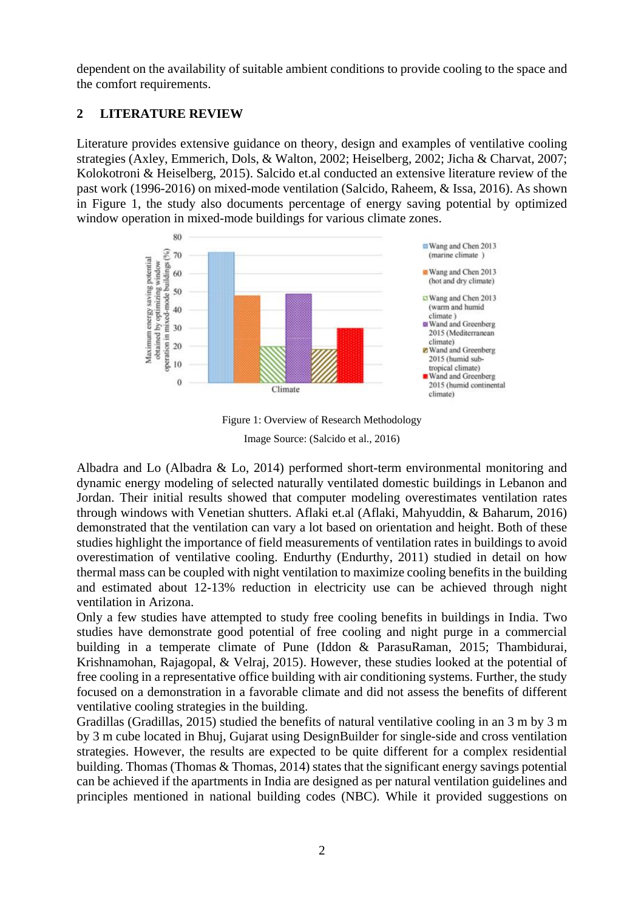dependent on the availability of suitable ambient conditions to provide cooling to the space and the comfort requirements.

# **2 LITERATURE REVIEW**

Literature provides extensive guidance on theory, design and examples of ventilative cooling strategies (Axley, Emmerich, Dols, & Walton, 2002; Heiselberg, 2002; Jicha & Charvat, 2007; Kolokotroni & Heiselberg, 2015). Salcido et.al conducted an extensive literature review of the past work (1996-2016) on mixed-mode ventilation (Salcido, Raheem, & Issa, 2016). As shown in Figure 1, the study also documents percentage of energy saving potential by optimized window operation in mixed-mode buildings for various climate zones.



Figure 1: Overview of Research Methodology

Image Source: (Salcido et al., 2016)

Albadra and Lo (Albadra & Lo, 2014) performed short-term environmental monitoring and dynamic energy modeling of selected naturally ventilated domestic buildings in Lebanon and Jordan. Their initial results showed that computer modeling overestimates ventilation rates through windows with Venetian shutters. Aflaki et.al (Aflaki, Mahyuddin, & Baharum, 2016) demonstrated that the ventilation can vary a lot based on orientation and height. Both of these studies highlight the importance of field measurements of ventilation rates in buildings to avoid overestimation of ventilative cooling. Endurthy (Endurthy, 2011) studied in detail on how thermal mass can be coupled with night ventilation to maximize cooling benefits in the building and estimated about 12-13% reduction in electricity use can be achieved through night ventilation in Arizona.

Only a few studies have attempted to study free cooling benefits in buildings in India. Two studies have demonstrate good potential of free cooling and night purge in a commercial building in a temperate climate of Pune (Iddon & ParasuRaman, 2015; Thambidurai, Krishnamohan, Rajagopal, & Velraj, 2015). However, these studies looked at the potential of free cooling in a representative office building with air conditioning systems. Further, the study focused on a demonstration in a favorable climate and did not assess the benefits of different ventilative cooling strategies in the building.

Gradillas (Gradillas, 2015) studied the benefits of natural ventilative cooling in an 3 m by 3 m by 3 m cube located in Bhuj, Gujarat using DesignBuilder for single-side and cross ventilation strategies. However, the results are expected to be quite different for a complex residential building. Thomas (Thomas & Thomas, 2014) states that the significant energy savings potential can be achieved if the apartments in India are designed as per natural ventilation guidelines and principles mentioned in national building codes (NBC). While it provided suggestions on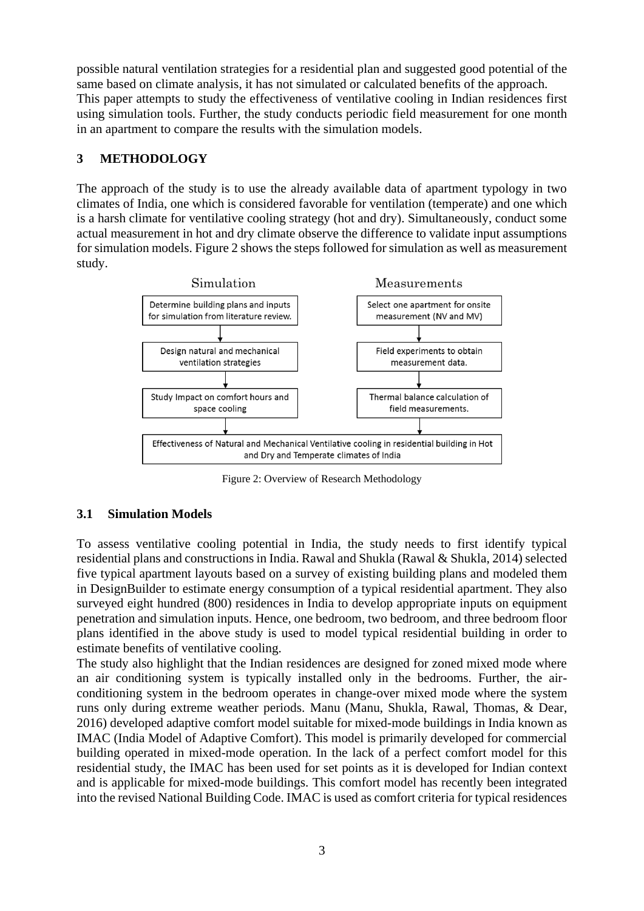possible natural ventilation strategies for a residential plan and suggested good potential of the same based on climate analysis, it has not simulated or calculated benefits of the approach. This paper attempts to study the effectiveness of ventilative cooling in Indian residences first using simulation tools. Further, the study conducts periodic field measurement for one month in an apartment to compare the results with the simulation models.

# **3 METHODOLOGY**

The approach of the study is to use the already available data of apartment typology in two climates of India, one which is considered favorable for ventilation (temperate) and one which is a harsh climate for ventilative cooling strategy (hot and dry). Simultaneously, conduct some actual measurement in hot and dry climate observe the difference to validate input assumptions for simulation models. Figure 2 shows the steps followed forsimulation as well as measurement study.



Figure 2: Overview of Research Methodology

# **3.1 Simulation Models**

To assess ventilative cooling potential in India, the study needs to first identify typical residential plans and constructions in India. Rawal and Shukla (Rawal & Shukla, 2014) selected five typical apartment layouts based on a survey of existing building plans and modeled them in DesignBuilder to estimate energy consumption of a typical residential apartment. They also surveyed eight hundred (800) residences in India to develop appropriate inputs on equipment penetration and simulation inputs. Hence, one bedroom, two bedroom, and three bedroom floor plans identified in the above study is used to model typical residential building in order to estimate benefits of ventilative cooling.

The study also highlight that the Indian residences are designed for zoned mixed mode where an air conditioning system is typically installed only in the bedrooms. Further, the airconditioning system in the bedroom operates in change-over mixed mode where the system runs only during extreme weather periods. Manu (Manu, Shukla, Rawal, Thomas, & Dear, 2016) developed adaptive comfort model suitable for mixed-mode buildings in India known as IMAC (India Model of Adaptive Comfort). This model is primarily developed for commercial building operated in mixed-mode operation. In the lack of a perfect comfort model for this residential study, the IMAC has been used for set points as it is developed for Indian context and is applicable for mixed-mode buildings. This comfort model has recently been integrated into the revised National Building Code. IMAC is used as comfort criteria for typical residences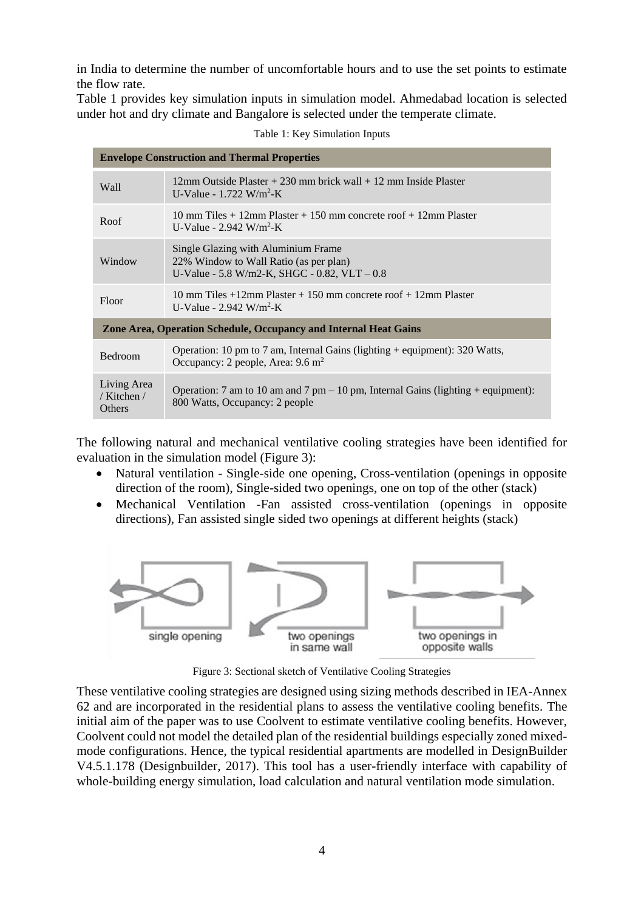in India to determine the number of uncomfortable hours and to use the set points to estimate the flow rate.

Table 1 provides key simulation inputs in simulation model. Ahmedabad location is selected under hot and dry climate and Bangalore is selected under the temperate climate.

| <b>Envelope Construction and Thermal Properties</b>              |                                                                                                                                |  |  |  |  |  |  |
|------------------------------------------------------------------|--------------------------------------------------------------------------------------------------------------------------------|--|--|--|--|--|--|
| Wall                                                             | $12 \text{mm}$ Outside Plaster + 230 mm brick wall + 12 mm Inside Plaster<br>U-Value - $1.722$ W/m <sup>2</sup> -K             |  |  |  |  |  |  |
| Roof                                                             | 10 mm Tiles $+$ 12mm Plaster $+$ 150 mm concrete roof $+$ 12mm Plaster<br>U-Value - $2.942$ W/m <sup>2</sup> -K                |  |  |  |  |  |  |
| Window                                                           | Single Glazing with Aluminium Frame<br>22% Window to Wall Ratio (as per plan)<br>U-Value - 5.8 W/m2-K, SHGC - 0.82, VLT $-0.8$ |  |  |  |  |  |  |
| Floor                                                            | 10 mm Tiles $+12$ mm Plaster $+150$ mm concrete roof $+12$ mm Plaster<br>U-Value - $2.942$ W/m <sup>2</sup> -K                 |  |  |  |  |  |  |
| Zone Area, Operation Schedule, Occupancy and Internal Heat Gains |                                                                                                                                |  |  |  |  |  |  |
| Bedroom                                                          | Operation: 10 pm to 7 am, Internal Gains (lighting $+$ equipment): 320 Watts,<br>Occupancy: 2 people, Area: $9.6 \text{ m}^2$  |  |  |  |  |  |  |
| Living Area<br>/ Kitchen /<br><b>Others</b>                      | Operation: 7 am to 10 am and 7 pm $-$ 10 pm, Internal Gains (lighting + equipment):<br>800 Watts, Occupancy: 2 people          |  |  |  |  |  |  |

Table 1: Key Simulation Inputs

The following natural and mechanical ventilative cooling strategies have been identified for evaluation in the simulation model (Figure 3):

- Natural ventilation Single-side one opening, Cross-ventilation (openings in opposite direction of the room), Single-sided two openings, one on top of the other (stack)
- Mechanical Ventilation -Fan assisted cross-ventilation (openings in opposite directions), Fan assisted single sided two openings at different heights (stack)



Figure 3: Sectional sketch of Ventilative Cooling Strategies

These ventilative cooling strategies are designed using sizing methods described in IEA-Annex 62 and are incorporated in the residential plans to assess the ventilative cooling benefits. The initial aim of the paper was to use Coolvent to estimate ventilative cooling benefits. However, Coolvent could not model the detailed plan of the residential buildings especially zoned mixedmode configurations. Hence, the typical residential apartments are modelled in DesignBuilder V4.5.1.178 (Designbuilder, 2017). This tool has a user-friendly interface with capability of whole-building energy simulation, load calculation and natural ventilation mode simulation.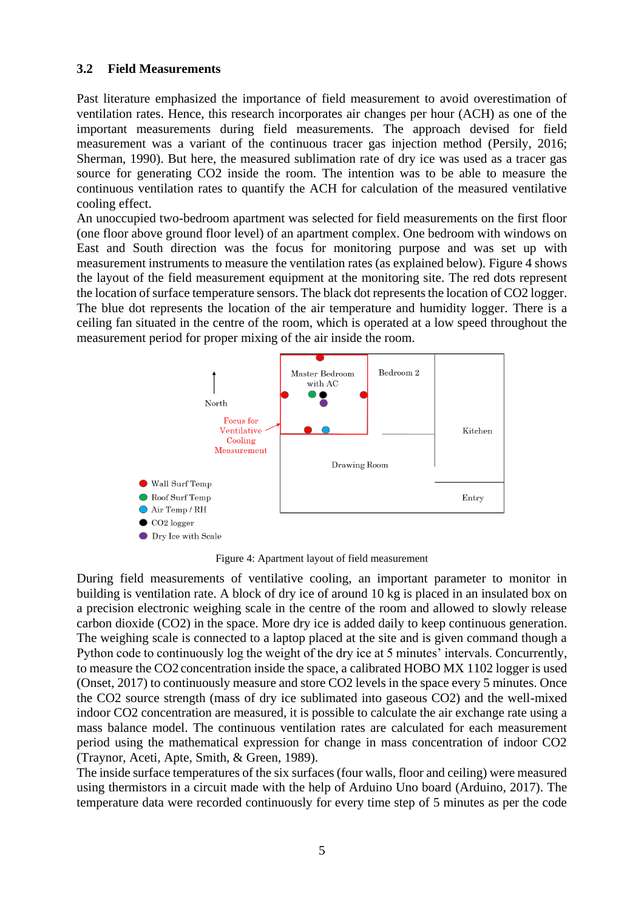#### **3.2 Field Measurements**

Past literature emphasized the importance of field measurement to avoid overestimation of ventilation rates. Hence, this research incorporates air changes per hour (ACH) as one of the important measurements during field measurements. The approach devised for field measurement was a variant of the continuous tracer gas injection method (Persily, 2016; Sherman, 1990). But here, the measured sublimation rate of dry ice was used as a tracer gas source for generating CO2 inside the room. The intention was to be able to measure the continuous ventilation rates to quantify the ACH for calculation of the measured ventilative cooling effect.

An unoccupied two-bedroom apartment was selected for field measurements on the first floor (one floor above ground floor level) of an apartment complex. One bedroom with windows on East and South direction was the focus for monitoring purpose and was set up with measurement instruments to measure the ventilation rates (as explained below). Figure 4 shows the layout of the field measurement equipment at the monitoring site. The red dots represent the location of surface temperature sensors. The black dot represents the location of CO2 logger. The blue dot represents the location of the air temperature and humidity logger. There is a ceiling fan situated in the centre of the room, which is operated at a low speed throughout the measurement period for proper mixing of the air inside the room.



Figure 4: Apartment layout of field measurement

During field measurements of ventilative cooling, an important parameter to monitor in building is ventilation rate. A block of dry ice of around 10 kg is placed in an insulated box on a precision electronic weighing scale in the centre of the room and allowed to slowly release carbon dioxide (CO2) in the space. More dry ice is added daily to keep continuous generation. The weighing scale is connected to a laptop placed at the site and is given command though a Python code to continuously log the weight of the dry ice at 5 minutes' intervals. Concurrently, to measure the CO2 concentration inside the space, a calibrated HOBO MX 1102 logger is used (Onset, 2017) to continuously measure and store CO2 levels in the space every 5 minutes. Once the CO2 source strength (mass of dry ice sublimated into gaseous CO2) and the well-mixed indoor CO2 concentration are measured, it is possible to calculate the air exchange rate using a mass balance model. The continuous ventilation rates are calculated for each measurement period using the mathematical expression for change in mass concentration of indoor CO2 (Traynor, Aceti, Apte, Smith, & Green, 1989).

The inside surface temperatures of the six surfaces (four walls, floor and ceiling) were measured using thermistors in a circuit made with the help of Arduino Uno board (Arduino, 2017). The temperature data were recorded continuously for every time step of 5 minutes as per the code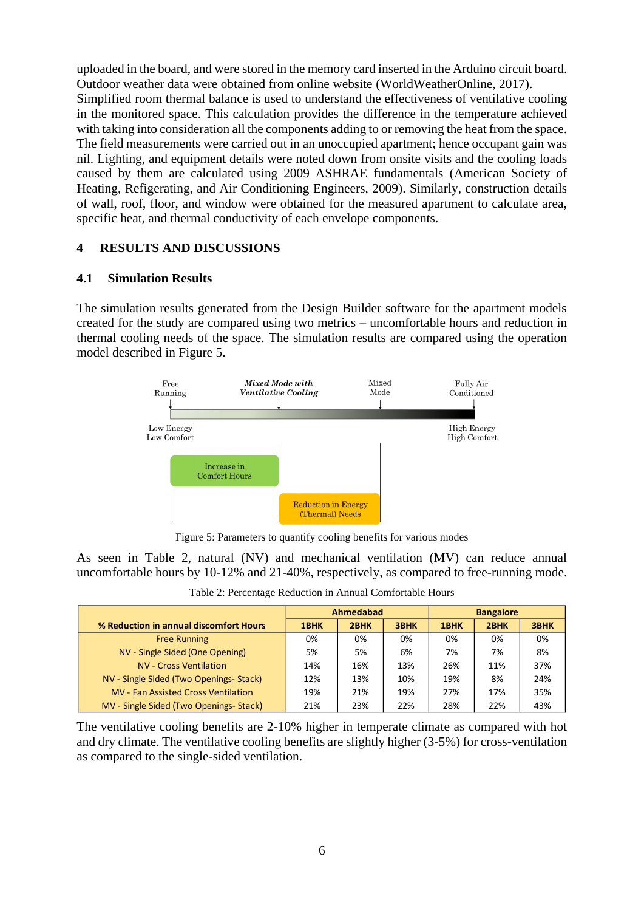uploaded in the board, and were stored in the memory card inserted in the Arduino circuit board. Outdoor weather data were obtained from online website (WorldWeatherOnline, 2017). Simplified room thermal balance is used to understand the effectiveness of ventilative cooling in the monitored space. This calculation provides the difference in the temperature achieved with taking into consideration all the components adding to or removing the heat from the space. The field measurements were carried out in an unoccupied apartment; hence occupant gain was nil. Lighting, and equipment details were noted down from onsite visits and the cooling loads caused by them are calculated using 2009 ASHRAE fundamentals (American Society of Heating, Refigerating, and Air Conditioning Engineers, 2009). Similarly, construction details of wall, roof, floor, and window were obtained for the measured apartment to calculate area, specific heat, and thermal conductivity of each envelope components.

## **4 RESULTS AND DISCUSSIONS**

#### **4.1 Simulation Results**

The simulation results generated from the Design Builder software for the apartment models created for the study are compared using two metrics – uncomfortable hours and reduction in thermal cooling needs of the space. The simulation results are compared using the operation model described in Figure 5.



Figure 5: Parameters to quantify cooling benefits for various modes

As seen in Table 2, natural (NV) and mechanical ventilation (MV) can reduce annual uncomfortable hours by 10-12% and 21-40%, respectively, as compared to free-running mode.

Table 2: Percentage Reduction in Annual Comfortable Hours

|                                            |      | Ahmedabad |      | <b>Bangalore</b> |      |      |  |
|--------------------------------------------|------|-----------|------|------------------|------|------|--|
| % Reduction in annual discomfort Hours     | 1BHK | 2BHK      | 3BHK | 1BHK             | 2BHK | 3BHK |  |
| <b>Free Running</b>                        | 0%   | 0%        | 0%   | 0%               | 0%   | 0%   |  |
| NV - Single Sided (One Opening)            | 5%   | 5%        | 6%   | 7%               | 7%   | 8%   |  |
| NV - Cross Ventilation                     | 14%  | 16%       | 13%  | 26%              | 11%  | 37%  |  |
| NV - Single Sided (Two Openings- Stack)    | 12%  | 13%       | 10%  | 19%              | 8%   | 24%  |  |
| <b>MV</b> - Fan Assisted Cross Ventilation | 19%  | 21%       | 19%  | 27%              | 17%  | 35%  |  |
| MV - Single Sided (Two Openings- Stack)    | 21%  | 23%       | 22%  | 28%              | 22%  | 43%  |  |

The ventilative cooling benefits are 2-10% higher in temperate climate as compared with hot and dry climate. The ventilative cooling benefits are slightly higher (3-5%) for cross-ventilation as compared to the single-sided ventilation.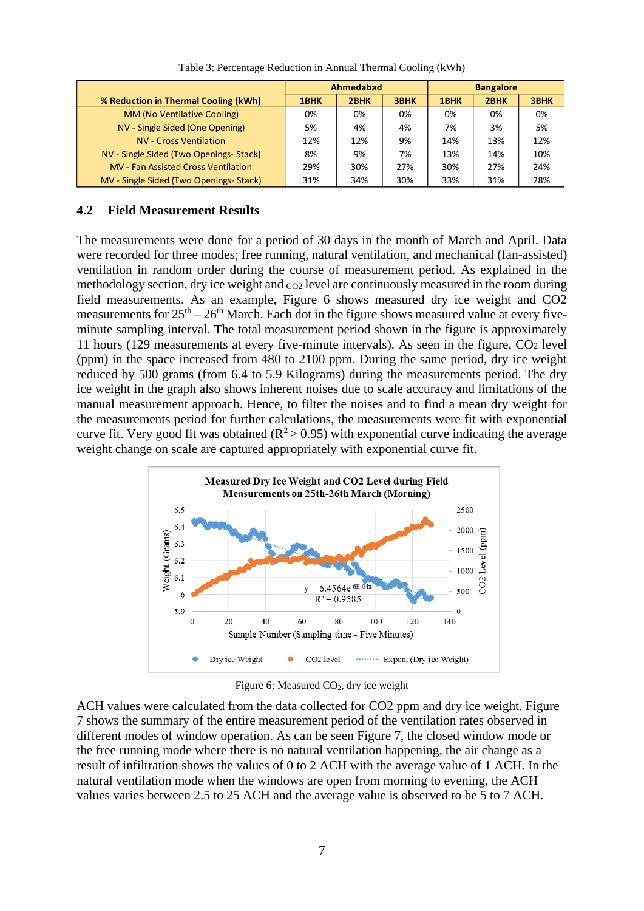|                                            |      | Ahmedabad |      | <b>Bangalore</b> |      |      |  |
|--------------------------------------------|------|-----------|------|------------------|------|------|--|
| % Reduction in Thermal Cooling (kWh)       | 1BHK | 2BHK      | 3BHK | 1BHK             | 2BHK | 3BHK |  |
| MM (No Ventilative Cooling)                | 0%   | 0%        | 0%   | 0%               | 0%   | 0%   |  |
| NV - Single Sided (One Opening)            | 5%   | 4%        | 4%   | 7%               | 3%   | 5%   |  |
| <b>NV - Cross Ventilation</b>              | 12%  | 12%       | 9%   | 14%              | 13%  | 12%  |  |
| NV - Single Sided (Two Openings-Stack)     | 8%   | 9%        | 7%   | 13%              | 14%  | 10%  |  |
| <b>MV</b> - Fan Assisted Cross Ventilation | 29%  | 30%       | 27%  | 30%              | 27%  | 24%  |  |
| MV - Single Sided (Two Openings- Stack)    | 31%  | 34%       | 30%  | 33%              | 31%  | 28%  |  |

Table 3: Percentage Reduction in Annual Thermal Cooling (kWh)

#### **4.2 Field Measurement Results**

The measurements were done for a period of 30 days in the month of March and April. Data were recorded for three modes; free running, natural ventilation, and mechanical (fan-assisted) ventilation in random order during the course of measurement period. As explained in the methodology section, dry ice weight and  $_{\rm CO2}$  level are continuously measured in the room during field measurements. As an example, Figure 6 shows measured dry ice weight and CO2 measurements for  $25<sup>th</sup> - 26<sup>th</sup>$  March. Each dot in the figure shows measured value at every fiveminute sampling interval. The total measurement period shown in the figure is approximately 11 hours (129 measurements at every five-minute intervals). As seen in the figure,  $CO<sub>2</sub>$  level (ppm) in the space increased from 480 to 2100 ppm. During the same period, dry ice weight reduced by 500 grams (from 6.4 to 5.9 Kilograms) during the measurements period. The dry ice weight in the graph also shows inherent noises due to scale accuracy and limitations of the manual measurement approach. Hence, to filter the noises and to find a mean dry weight for the measurements period for further calculations, the measurements were fit with exponential curve fit. Very good fit was obtained ( $R^2 > 0.95$ ) with exponential curve indicating the average weight change on scale are captured appropriately with exponential curve fit.



Figure 6: Measured  $CO<sub>2</sub>$ , dry ice weight

ACH values were calculated from the data collected for CO2 ppm and dry ice weight. Figure 7 shows the summary of the entire measurement period of the ventilation rates observed in different modes of window operation. As can be seen Figure 7, the closed window mode or the free running mode where there is no natural ventilation happening, the air change as a result of infiltration shows the values of 0 to 2 ACH with the average value of 1 ACH. In the natural ventilation mode when the windows are open from morning to evening, the ACH values varies between 2.5 to 25 ACH and the average value is observed to be 5 to 7 ACH.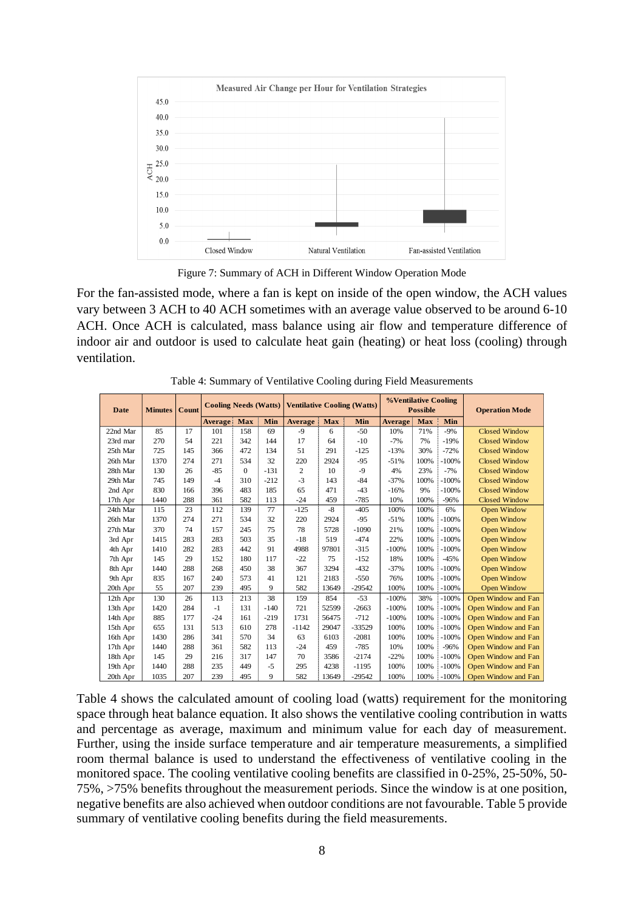

Figure 7: Summary of ACH in Different Window Operation Mode

For the fan-assisted mode, where a fan is kept on inside of the open window, the ACH values vary between 3 ACH to 40 ACH sometimes with an average value observed to be around 6-10 ACH. Once ACH is calculated, mass balance using air flow and temperature difference of indoor air and outdoor is used to calculate heat gain (heating) or heat loss (cooling) through ventilation.

| Date     | <b>Minutes</b> | Count | <b>Cooling Needs (Watts)</b> |              |        |                | <b>%Ventilative Cooling</b><br><b>Ventilative Cooling (Watts)</b><br><b>Possible</b> |          | <b>Operation Mode</b> |            |         |                      |  |
|----------|----------------|-------|------------------------------|--------------|--------|----------------|--------------------------------------------------------------------------------------|----------|-----------------------|------------|---------|----------------------|--|
|          |                |       | <b>Average</b>               | <b>Max</b>   | Min    | <b>Average</b> | <b>Max</b>                                                                           | Min      | <b>Average</b>        | <b>Max</b> | Min     |                      |  |
| 22nd Mar | 85             | 17    | 101                          | 158          | 69     | $-9$           | 6                                                                                    | $-50$    | 10%                   | 71%        | $-9%$   | <b>Closed Window</b> |  |
| 23rd mar | 270            | 54    | 221                          | 342          | 144    | 17             | 64                                                                                   | $-10$    | $-7%$                 | 7%         | $-19%$  | <b>Closed Window</b> |  |
| 25th Mar | 725            | 145   | 366                          | 472          | 134    | 51             | 291                                                                                  | $-125$   | $-13%$                | 30%        | $-72%$  | <b>Closed Window</b> |  |
| 26th Mar | 1370           | 274   | 271                          | 534          | 32     | 220            | 2924                                                                                 | $-95$    | $-51%$                | 100%       | $-100%$ | <b>Closed Window</b> |  |
| 28th Mar | 130            | 26    | $-85$                        | $\mathbf{0}$ | $-131$ | 2              | 10                                                                                   | $-9$     | 4%                    | 23%        | $-7%$   | <b>Closed Window</b> |  |
| 29th Mar | 745            | 149   | $-4$                         | 310          | $-212$ | $-3$           | 143                                                                                  | $-84$    | $-37%$                | 100%       | $-100%$ | <b>Closed Window</b> |  |
| 2nd Apr  | 830            | 166   | 396                          | 483          | 185    | 65             | 471                                                                                  | $-43$    | $-16%$                | 9%         | $-100%$ | Closed Window        |  |
| 17th Apr | 1440           | 288   | 361                          | 582          | 113    | $-24$          | 459                                                                                  | $-785$   | 10%                   | 100%       | $-96%$  | <b>Closed Window</b> |  |
| 24th Mar | 115            | 23    | 112                          | 139          | 77     | $-125$         | $-8$                                                                                 | $-405$   | 100%                  | 100%       | 6%      | Open Window          |  |
| 26th Mar | 1370           | 274   | 271                          | 534          | 32     | 220            | 2924                                                                                 | $-95$    | $-51%$                | 100%       | $-100%$ | Open Window          |  |
| 27th Mar | 370            | 74    | 157                          | 245          | 75     | 78             | 5728                                                                                 | $-1090$  | 21%                   | 100%       | $-100%$ | Open Window          |  |
| 3rd Apr  | 1415           | 283   | 283                          | 503          | 35     | $-18$          | 519                                                                                  | $-474$   | 22%                   | 100%       | $-100%$ | Open Window          |  |
| 4th Apr  | 1410           | 282   | 283                          | 442          | 91     | 4988           | 97801                                                                                | $-315$   | $-100%$               | 100%       | $-100%$ | Open Window          |  |
| 7th Apr  | 145            | 29    | 152                          | 180          | 117    | $-22$          | 75                                                                                   | $-152$   | 18%                   | 100%       | $-45%$  | <b>Open Window</b>   |  |
| 8th Apr  | 1440           | 288   | 268                          | 450          | 38     | 367            | 3294                                                                                 | $-432$   | $-37%$                | 100%       | $-100%$ | Open Window          |  |
| 9th Apr  | 835            | 167   | 240                          | 573          | 41     | 121            | 2183                                                                                 | $-550$   | 76%                   | 100%       | $-100%$ | Open Window          |  |
| 20th Apr | 55             | 207   | 239                          | 495          | 9      | 582            | 13649                                                                                | $-29542$ | 100%                  | 100%       | $-100%$ | Open Window          |  |
| 12th Apr | 130            | 26    | 113                          | 213          | 38     | 159            | 854                                                                                  | $-53$    | $-100%$               | 38%        | $-100%$ | Open Window and Fan  |  |
| 13th Apr | 1420           | 284   | $-1$                         | 131          | $-140$ | 721            | 52599                                                                                | $-2663$  | $-100%$               | 100%       | $-100%$ | Open Window and Fan  |  |
| 14th Apr | 885            | 177   | $-24$                        | 161          | $-219$ | 1731           | 56475                                                                                | $-712$   | $-100%$               | 100%       | $-100%$ | Open Window and Fan  |  |
| 15th Apr | 655            | 131   | 513                          | 610          | 278    | $-1142$        | 29047                                                                                | $-33529$ | 100%                  | 100%       | $-100%$ | Open Window and Fan  |  |
| 16th Apr | 1430           | 286   | 341                          | 570          | 34     | 63             | 6103                                                                                 | $-2081$  | 100%                  | 100%       | $-100%$ | Open Window and Fan  |  |
| 17th Apr | 1440           | 288   | 361                          | 582          | 113    | $-24$          | 459                                                                                  | $-785$   | 10%                   | 100%       | $-96%$  | Open Window and Fan  |  |
| 18th Apr | 145            | 29    | 216                          | 317          | 147    | 70             | 3586                                                                                 | $-2174$  | $-22%$                | 100%       | $-100%$ | Open Window and Fan  |  |
| 19th Apr | 1440           | 288   | 235                          | 449          | $-5$   | 295            | 4238                                                                                 | $-1195$  | 100%                  | 100%       | $-100%$ | Open Window and Fan  |  |
| 20th Apr | 1035           | 207   | 239                          | 495          | 9      | 582            | 13649                                                                                | $-29542$ | 100%                  | 100%       | $-100%$ | Open Window and Fan  |  |

Table 4: Summary of Ventilative Cooling during Field Measurements

Table 4 shows the calculated amount of cooling load (watts) requirement for the monitoring space through heat balance equation. It also shows the ventilative cooling contribution in watts and percentage as average, maximum and minimum value for each day of measurement. Further, using the inside surface temperature and air temperature measurements, a simplified room thermal balance is used to understand the effectiveness of ventilative cooling in the monitored space. The cooling ventilative cooling benefits are classified in 0-25%, 25-50%, 50- 75%, >75% benefits throughout the measurement periods. Since the window is at one position, negative benefits are also achieved when outdoor conditions are not favourable. Table 5 provide summary of ventilative cooling benefits during the field measurements.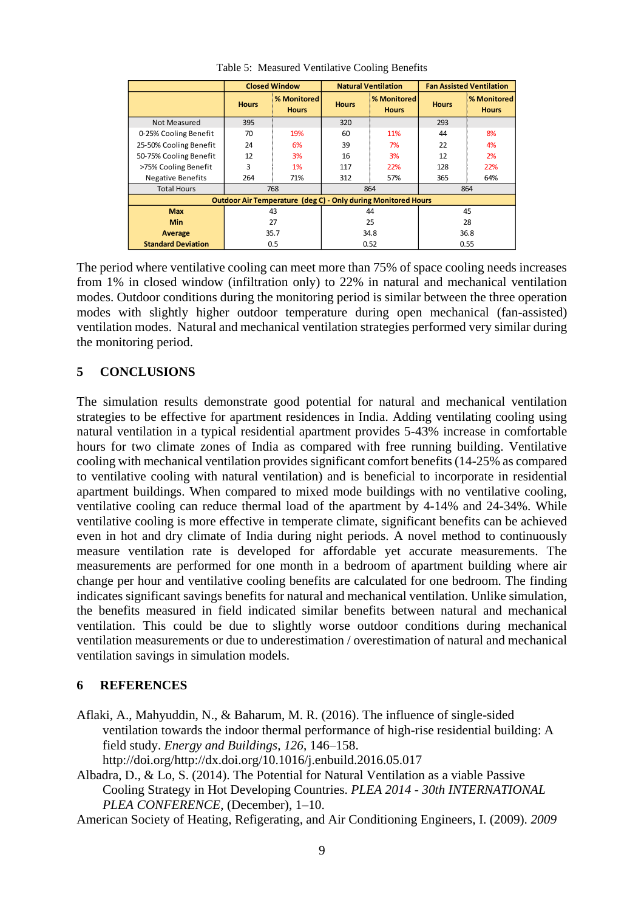|                                                                      |              | <b>Closed Window</b>        |              | <b>Natural Ventilation</b>  | <b>Fan Assisted Ventilation</b> |                             |  |  |
|----------------------------------------------------------------------|--------------|-----------------------------|--------------|-----------------------------|---------------------------------|-----------------------------|--|--|
|                                                                      | <b>Hours</b> | % Monitored<br><b>Hours</b> | <b>Hours</b> | % Monitored<br><b>Hours</b> | <b>Hours</b>                    | % Monitored<br><b>Hours</b> |  |  |
| Not Measured                                                         | 395          |                             | 320          |                             | 293                             |                             |  |  |
| 0-25% Cooling Benefit                                                | 70           | 19%                         | 60           | 11%                         | 44                              | 8%                          |  |  |
| 25-50% Cooling Benefit                                               | 24<br>6%     |                             | 39           | 7%                          | 22                              | 4%                          |  |  |
| 50-75% Cooling Benefit                                               | 12           | 3%                          | 16           | 3%                          | 12                              | 2%                          |  |  |
| >75% Cooling Benefit                                                 | 3            | 1%                          | 117          | 22%                         | 128                             | 22%                         |  |  |
| <b>Negative Benefits</b>                                             | 264          | 71%                         | 312          | 57%                         | 365                             | 64%                         |  |  |
| <b>Total Hours</b>                                                   |              | 768                         |              | 864                         | 864                             |                             |  |  |
| <b>Outdoor Air Temperature (deg C) - Only during Monitored Hours</b> |              |                             |              |                             |                                 |                             |  |  |
| <b>Max</b>                                                           | 43           |                             |              | 44                          | 45                              |                             |  |  |
| <b>Min</b>                                                           | 27           |                             |              | 25                          | 28                              |                             |  |  |
| Average                                                              | 35.7         |                             |              | 34.8                        | 36.8                            |                             |  |  |
| <b>Standard Deviation</b>                                            |              | 0.5                         |              | 0.52                        | 0.55                            |                             |  |  |

Table 5: Measured Ventilative Cooling Benefits

The period where ventilative cooling can meet more than 75% of space cooling needs increases from 1% in closed window (infiltration only) to 22% in natural and mechanical ventilation modes. Outdoor conditions during the monitoring period is similar between the three operation modes with slightly higher outdoor temperature during open mechanical (fan-assisted) ventilation modes. Natural and mechanical ventilation strategies performed very similar during the monitoring period.

# **5 CONCLUSIONS**

The simulation results demonstrate good potential for natural and mechanical ventilation strategies to be effective for apartment residences in India. Adding ventilating cooling using natural ventilation in a typical residential apartment provides 5-43% increase in comfortable hours for two climate zones of India as compared with free running building. Ventilative cooling with mechanical ventilation provides significant comfort benefits (14-25% as compared to ventilative cooling with natural ventilation) and is beneficial to incorporate in residential apartment buildings. When compared to mixed mode buildings with no ventilative cooling, ventilative cooling can reduce thermal load of the apartment by 4-14% and 24-34%. While ventilative cooling is more effective in temperate climate, significant benefits can be achieved even in hot and dry climate of India during night periods. A novel method to continuously measure ventilation rate is developed for affordable yet accurate measurements. The measurements are performed for one month in a bedroom of apartment building where air change per hour and ventilative cooling benefits are calculated for one bedroom. The finding indicates significant savings benefits for natural and mechanical ventilation. Unlike simulation, the benefits measured in field indicated similar benefits between natural and mechanical ventilation. This could be due to slightly worse outdoor conditions during mechanical ventilation measurements or due to underestimation / overestimation of natural and mechanical ventilation savings in simulation models.

#### **6 REFERENCES**

- Aflaki, A., Mahyuddin, N., & Baharum, M. R. (2016). The influence of single-sided ventilation towards the indoor thermal performance of high-rise residential building: A field study. *Energy and Buildings*, *126*, 146–158. http://doi.org/http://dx.doi.org/10.1016/j.enbuild.2016.05.017
- Albadra, D., & Lo, S. (2014). The Potential for Natural Ventilation as a viable Passive Cooling Strategy in Hot Developing Countries. *PLEA 2014 - 30th INTERNATIONAL PLEA CONFERENCE*, (December), 1–10.
- American Society of Heating, Refigerating, and Air Conditioning Engineers, I. (2009). *2009*